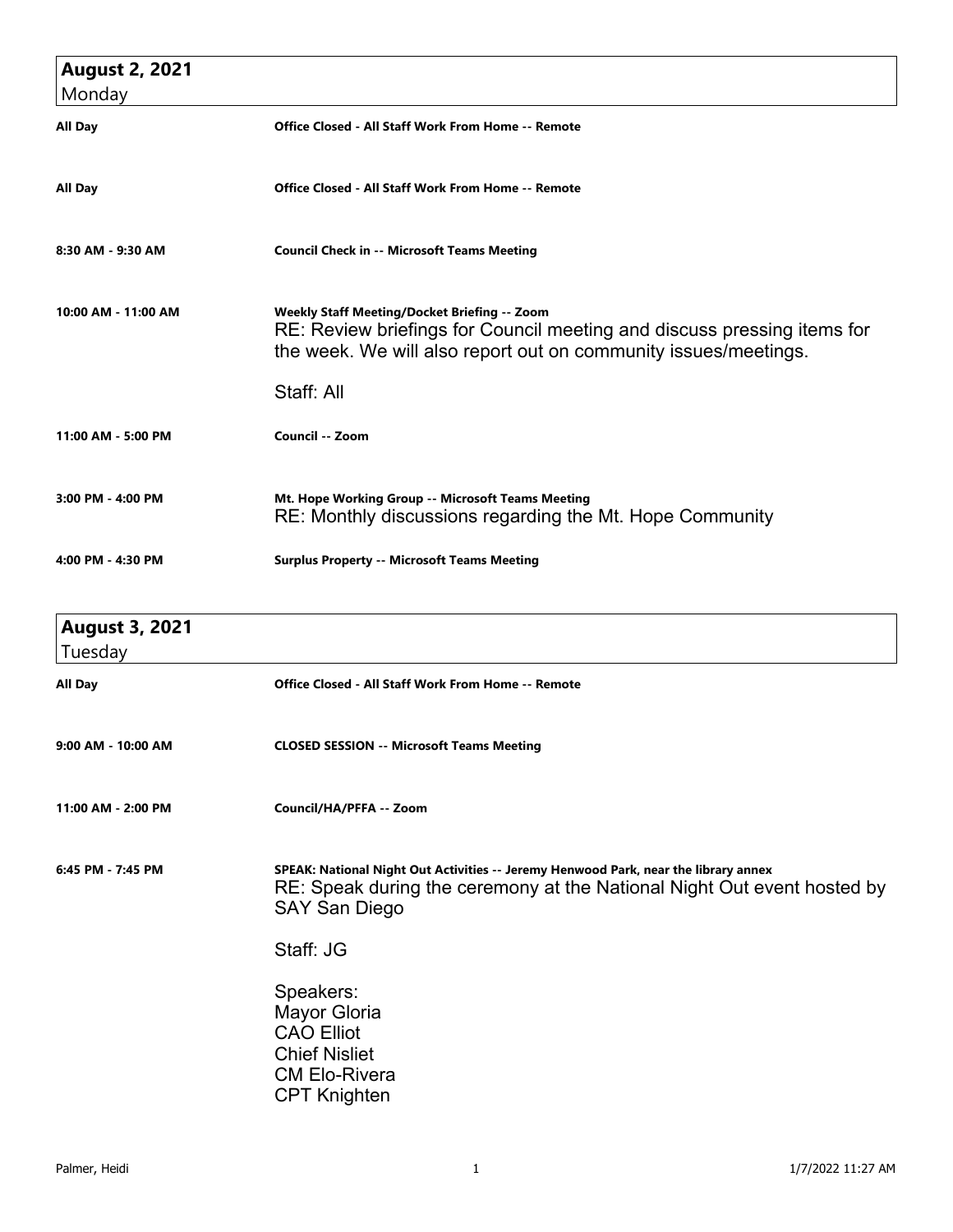| <b>August 2, 2021</b><br>Monday  |                                                                                                                                                                                                          |
|----------------------------------|----------------------------------------------------------------------------------------------------------------------------------------------------------------------------------------------------------|
| <b>All Day</b>                   | Office Closed - All Staff Work From Home -- Remote                                                                                                                                                       |
| All Day                          | Office Closed - All Staff Work From Home -- Remote                                                                                                                                                       |
| 8:30 AM - 9:30 AM                | <b>Council Check in -- Microsoft Teams Meeting</b>                                                                                                                                                       |
| 10:00 AM - 11:00 AM              | Weekly Staff Meeting/Docket Briefing -- Zoom<br>RE: Review briefings for Council meeting and discuss pressing items for<br>the week. We will also report out on community issues/meetings.<br>Staff: All |
| 11:00 AM - 5:00 PM               | Council -- Zoom                                                                                                                                                                                          |
| $3:00$ PM - $4:00$ PM            | Mt. Hope Working Group -- Microsoft Teams Meeting<br>RE: Monthly discussions regarding the Mt. Hope Community                                                                                            |
| 4:00 PM - 4:30 PM                | <b>Surplus Property -- Microsoft Teams Meeting</b>                                                                                                                                                       |
| <b>August 3, 2021</b><br>Tuesday |                                                                                                                                                                                                          |
| <b>All Day</b>                   | <b>Office Closed - All Staff Work From Home -- Remote</b>                                                                                                                                                |
| 9:00 AM - 10:00 AM               | <b>CLOSED SESSION -- Microsoft Teams Meeting</b>                                                                                                                                                         |
| 11:00 AM - 2:00 PM               | Council/HA/PFFA -- Zoom                                                                                                                                                                                  |
| 6:45 PM - 7:45 PM                | SPEAK: National Night Out Activities -- Jeremy Henwood Park, near the library annex<br>RE: Speak during the ceremony at the National Night Out event hosted by<br>SAY San Diego                          |
|                                  | Staff: JG                                                                                                                                                                                                |
|                                  | Speakers:<br><b>Mayor Gloria</b><br><b>CAO Elliot</b>                                                                                                                                                    |

Chief Nisliet CM Elo-Rivera CPT Knighten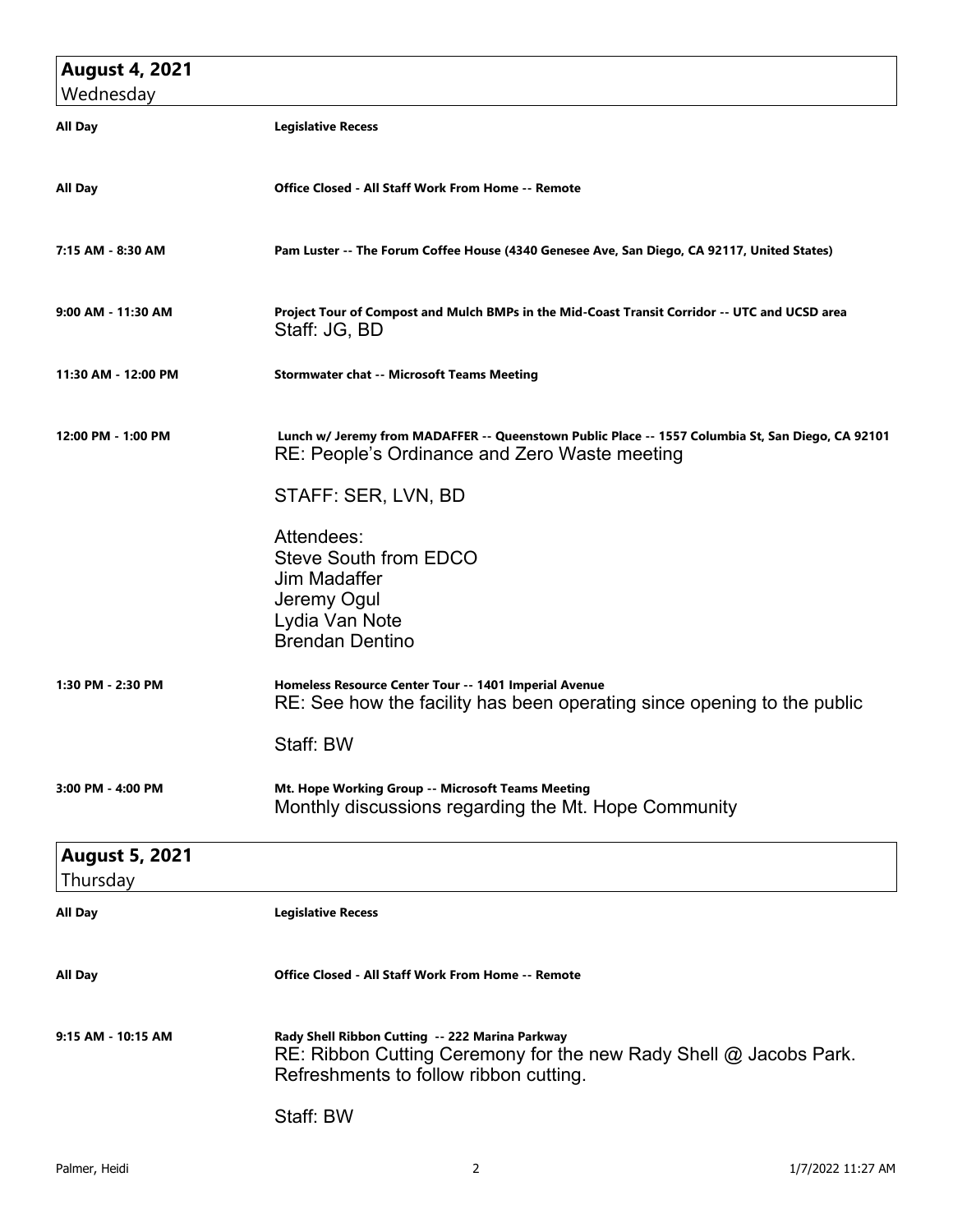| <b>August 4, 2021</b>             |                                                                                                                                                                    |
|-----------------------------------|--------------------------------------------------------------------------------------------------------------------------------------------------------------------|
| Wednesday                         |                                                                                                                                                                    |
| All Day                           | <b>Legislative Recess</b>                                                                                                                                          |
| All Day                           | <b>Office Closed - All Staff Work From Home -- Remote</b>                                                                                                          |
| 7:15 AM - 8:30 AM                 | Pam Luster -- The Forum Coffee House (4340 Genesee Ave, San Diego, CA 92117, United States)                                                                        |
| 9:00 AM - 11:30 AM                | Project Tour of Compost and Mulch BMPs in the Mid-Coast Transit Corridor -- UTC and UCSD area<br>Staff: JG, BD                                                     |
| 11:30 AM - 12:00 PM               | <b>Stormwater chat -- Microsoft Teams Meeting</b>                                                                                                                  |
| 12:00 PM - 1:00 PM                | Lunch w/ Jeremy from MADAFFER -- Queenstown Public Place -- 1557 Columbia St, San Diego, CA 92101<br>RE: People's Ordinance and Zero Waste meeting                 |
|                                   | STAFF: SER, LVN, BD                                                                                                                                                |
|                                   | Attendees:<br>Steve South from EDCO<br>Jim Madaffer                                                                                                                |
|                                   | Jeremy Ogul<br>Lydia Van Note<br><b>Brendan Dentino</b>                                                                                                            |
| 1:30 PM - 2:30 PM                 | Homeless Resource Center Tour -- 1401 Imperial Avenue<br>RE: See how the facility has been operating since opening to the public                                   |
|                                   | Staff: BW                                                                                                                                                          |
| 3:00 PM - 4:00 PM                 | Mt. Hope Working Group -- Microsoft Teams Meeting<br>Monthly discussions regarding the Mt. Hope Community                                                          |
| <b>August 5, 2021</b><br>Thursday |                                                                                                                                                                    |
| All Day                           | <b>Legislative Recess</b>                                                                                                                                          |
| All Day                           | Office Closed - All Staff Work From Home -- Remote                                                                                                                 |
| 9:15 AM - 10:15 AM                | Rady Shell Ribbon Cutting -- 222 Marina Parkway<br>$RE: Ribbon$ Cutting Ceremony for the new Rady Shell $@$ Jacobs Park.<br>Refreshments to follow ribbon cutting. |
|                                   | Staff: BW                                                                                                                                                          |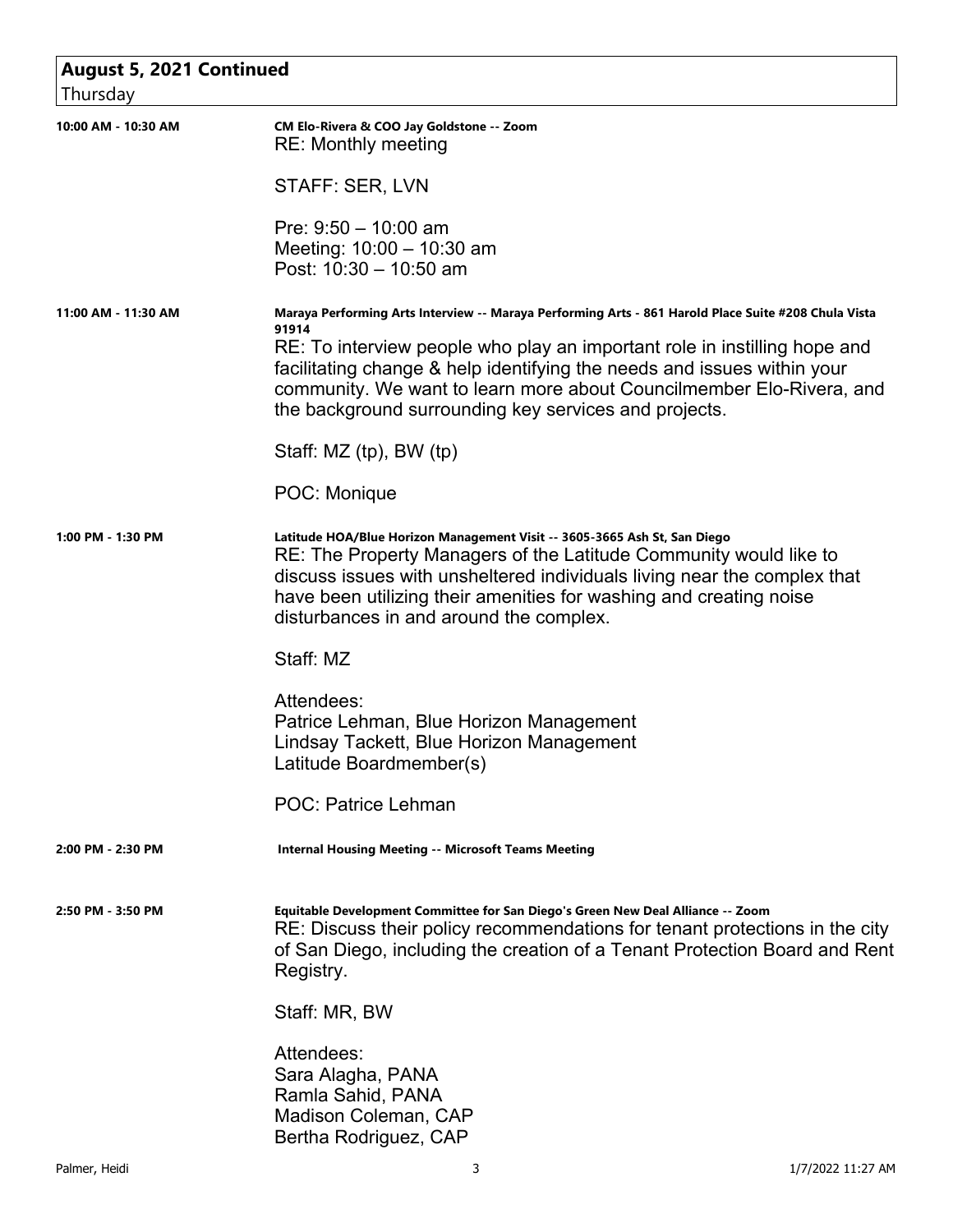| <b>August 5, 2021 Continued</b> |                                                                                                                                                                                                                                                                                                                                                                                                        |
|---------------------------------|--------------------------------------------------------------------------------------------------------------------------------------------------------------------------------------------------------------------------------------------------------------------------------------------------------------------------------------------------------------------------------------------------------|
| Thursday                        |                                                                                                                                                                                                                                                                                                                                                                                                        |
| 10:00 AM - 10:30 AM             | CM Elo-Rivera & COO Jay Goldstone -- Zoom<br><b>RE: Monthly meeting</b>                                                                                                                                                                                                                                                                                                                                |
|                                 | STAFF: SER, LVN                                                                                                                                                                                                                                                                                                                                                                                        |
|                                 | Pre: $9:50 - 10:00$ am<br>Meeting: $10:00 - 10:30$ am<br>Post: $10:30 - 10:50$ am                                                                                                                                                                                                                                                                                                                      |
| 11:00 AM - 11:30 AM             | Maraya Performing Arts Interview -- Maraya Performing Arts - 861 Harold Place Suite #208 Chula Vista<br>91914<br>RE: To interview people who play an important role in instilling hope and<br>facilitating change & help identifying the needs and issues within your<br>community. We want to learn more about Councilmember Elo-Rivera, and<br>the background surrounding key services and projects. |
|                                 | Staff: MZ (tp), BW (tp)                                                                                                                                                                                                                                                                                                                                                                                |
|                                 | POC: Monique                                                                                                                                                                                                                                                                                                                                                                                           |
| 1:00 PM - 1:30 PM               | Latitude HOA/Blue Horizon Management Visit -- 3605-3665 Ash St, San Diego<br>RE: The Property Managers of the Latitude Community would like to<br>discuss issues with unsheltered individuals living near the complex that<br>have been utilizing their amenities for washing and creating noise<br>disturbances in and around the complex.                                                            |
|                                 | Staff: MZ                                                                                                                                                                                                                                                                                                                                                                                              |
|                                 | Attendees:<br>Patrice Lehman, Blue Horizon Management<br>Lindsay Tackett, Blue Horizon Management<br>Latitude Boardmember(s)                                                                                                                                                                                                                                                                           |
|                                 | POC: Patrice Lehman                                                                                                                                                                                                                                                                                                                                                                                    |
| 2:00 PM - 2:30 PM               | <b>Internal Housing Meeting -- Microsoft Teams Meeting</b>                                                                                                                                                                                                                                                                                                                                             |
| 2:50 PM - 3:50 PM               | Equitable Development Committee for San Diego's Green New Deal Alliance -- Zoom<br>RE: Discuss their policy recommendations for tenant protections in the city<br>of San Diego, including the creation of a Tenant Protection Board and Rent<br>Registry.                                                                                                                                              |
|                                 | Staff: MR, BW                                                                                                                                                                                                                                                                                                                                                                                          |
|                                 | Attendees:<br>Sara Alagha, PANA<br>Ramla Sahid, PANA<br>Madison Coleman, CAP<br>Bertha Rodriguez, CAP                                                                                                                                                                                                                                                                                                  |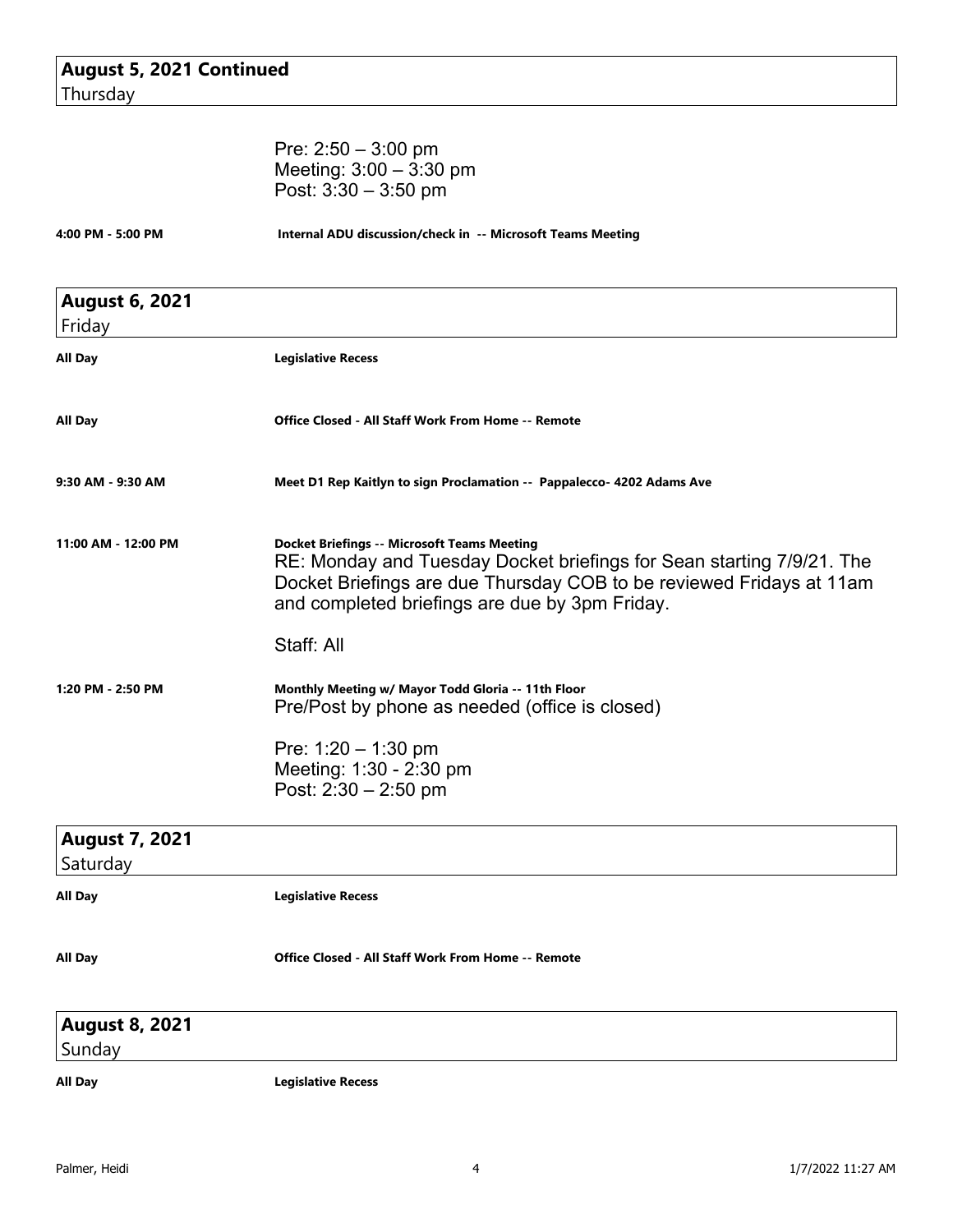| <b>August 5, 2021 Continued</b> |  |
|---------------------------------|--|
| Thursday                        |  |

|                                 | Pre: $2:50 - 3:00$ pm<br>Meeting: $3:00 - 3:30$ pm<br>Post: $3:30 - 3:50$ pm                                                                                                                                                                          |  |  |
|---------------------------------|-------------------------------------------------------------------------------------------------------------------------------------------------------------------------------------------------------------------------------------------------------|--|--|
| 4:00 PM - 5:00 PM               | Internal ADU discussion/check in -- Microsoft Teams Meeting                                                                                                                                                                                           |  |  |
| <b>August 6, 2021</b><br>Friday |                                                                                                                                                                                                                                                       |  |  |
| All Day                         | <b>Legislative Recess</b>                                                                                                                                                                                                                             |  |  |
| All Day                         | <b>Office Closed - All Staff Work From Home -- Remote</b>                                                                                                                                                                                             |  |  |
| 9:30 AM - 9:30 AM               | Meet D1 Rep Kaitlyn to sign Proclamation -- Pappalecco- 4202 Adams Ave                                                                                                                                                                                |  |  |
| 11:00 AM - 12:00 PM             | <b>Docket Briefings -- Microsoft Teams Meeting</b><br>RE: Monday and Tuesday Docket briefings for Sean starting 7/9/21. The<br>Docket Briefings are due Thursday COB to be reviewed Fridays at 11am<br>and completed briefings are due by 3pm Friday. |  |  |
|                                 | Staff: All                                                                                                                                                                                                                                            |  |  |
| 1:20 PM - 2:50 PM               | Monthly Meeting w/ Mayor Todd Gloria -- 11th Floor<br>Pre/Post by phone as needed (office is closed)                                                                                                                                                  |  |  |
|                                 | Pre: $1:20 - 1:30$ pm<br>Meeting: 1:30 - 2:30 pm<br>Post: 2:30 - 2:50 pm                                                                                                                                                                              |  |  |
| <b>August 7, 2021</b>           |                                                                                                                                                                                                                                                       |  |  |
| Saturday                        |                                                                                                                                                                                                                                                       |  |  |
| <b>All Day</b>                  | <b>Legislative Recess</b>                                                                                                                                                                                                                             |  |  |
| <b>All Day</b>                  | Office Closed - All Staff Work From Home -- Remote                                                                                                                                                                                                    |  |  |
| <b>August 8, 2021</b><br>Sunday |                                                                                                                                                                                                                                                       |  |  |
| <b>All Day</b>                  | <b>Legislative Recess</b>                                                                                                                                                                                                                             |  |  |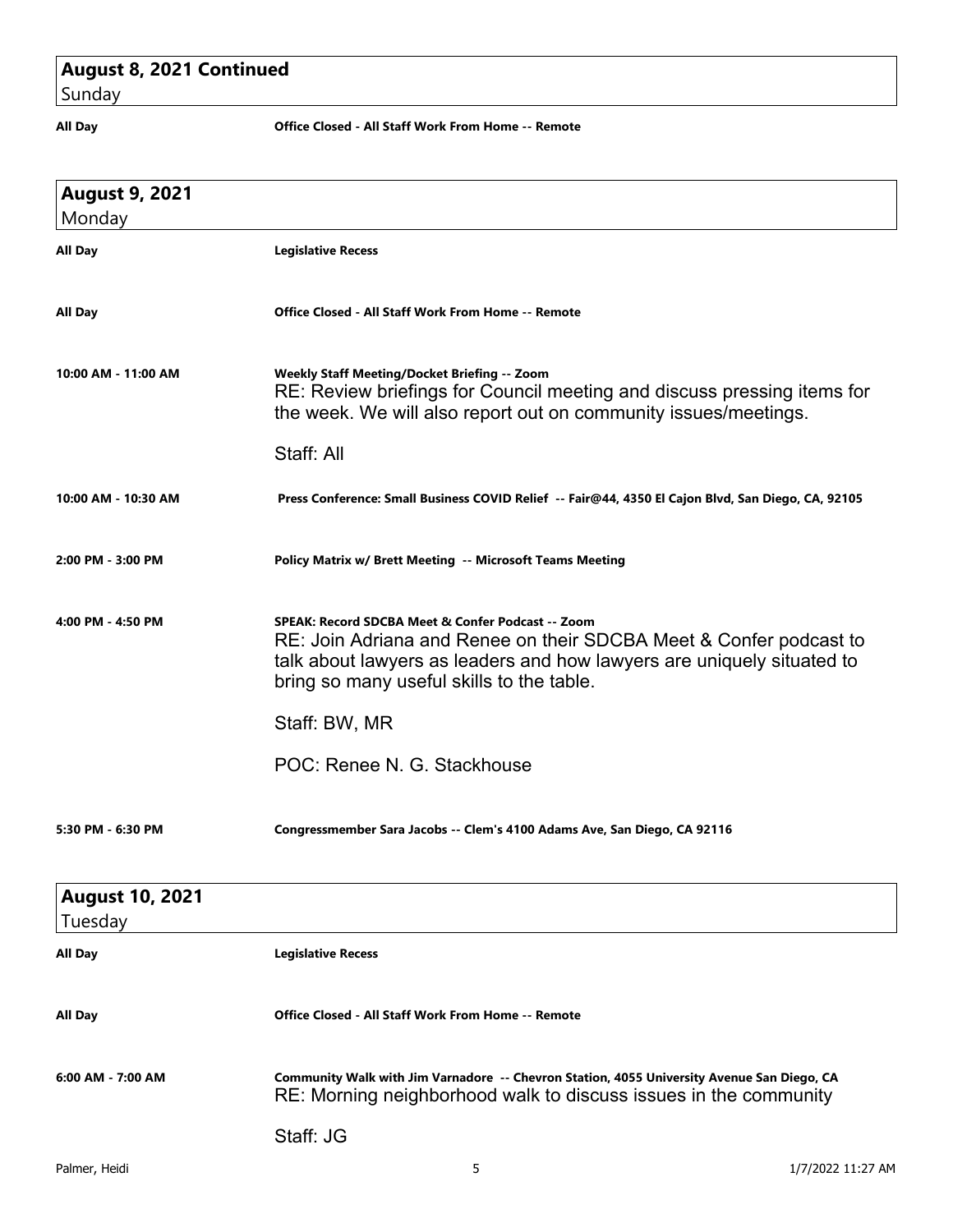# **August 8, 2021 Continued**

Sunday

**All Day Office Closed - All Staff Work From Home -- Remote**

| <b>August 9, 2021</b><br>Monday   |                                                                                                                                                                                                                                                |
|-----------------------------------|------------------------------------------------------------------------------------------------------------------------------------------------------------------------------------------------------------------------------------------------|
| <b>All Day</b>                    | <b>Legislative Recess</b>                                                                                                                                                                                                                      |
| All Day                           | Office Closed - All Staff Work From Home -- Remote                                                                                                                                                                                             |
| 10:00 AM - 11:00 AM               | <b>Weekly Staff Meeting/Docket Briefing -- Zoom</b><br>RE: Review briefings for Council meeting and discuss pressing items for<br>the week. We will also report out on community issues/meetings.                                              |
|                                   | Staff: All                                                                                                                                                                                                                                     |
| 10:00 AM - 10:30 AM               | Press Conference: Small Business COVID Relief -- Fair@44, 4350 El Cajon Blvd, San Diego, CA, 92105                                                                                                                                             |
| 2:00 PM - 3:00 PM                 | Policy Matrix w/ Brett Meeting -- Microsoft Teams Meeting                                                                                                                                                                                      |
| 4:00 PM - 4:50 PM                 | SPEAK: Record SDCBA Meet & Confer Podcast -- Zoom<br>RE: Join Adriana and Renee on their SDCBA Meet & Confer podcast to<br>talk about lawyers as leaders and how lawyers are uniquely situated to<br>bring so many useful skills to the table. |
|                                   | Staff: BW, MR                                                                                                                                                                                                                                  |
|                                   | POC: Renee N. G. Stackhouse                                                                                                                                                                                                                    |
| 5:30 PM - 6:30 PM                 | Congressmember Sara Jacobs -- Clem's 4100 Adams Ave, San Diego, CA 92116                                                                                                                                                                       |
| <b>August 10, 2021</b><br>Tuesday |                                                                                                                                                                                                                                                |
| All Day                           | <b>Legislative Recess</b>                                                                                                                                                                                                                      |
| All Day                           | Office Closed - All Staff Work From Home -- Remote                                                                                                                                                                                             |
| $6:00$ AM - 7:00 AM               | Community Walk with Jim Varnadore -- Chevron Station, 4055 University Avenue San Diego, CA<br>RE: Morning neighborhood walk to discuss issues in the community                                                                                 |
|                                   | Staff: JG                                                                                                                                                                                                                                      |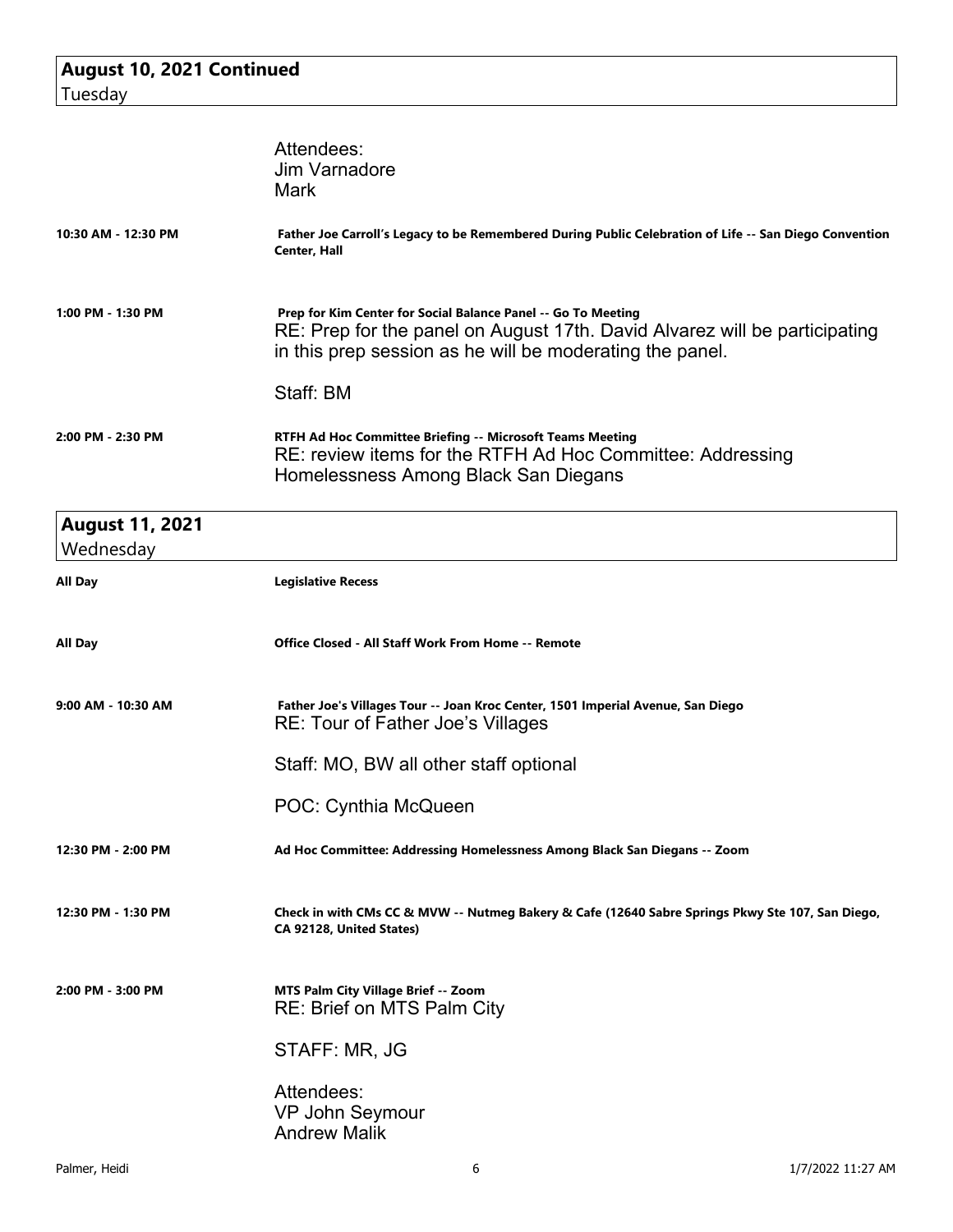|                                     | Attendees:<br><b>Jim Varnadore</b><br>Mark                                                                                                                                                                           |
|-------------------------------------|----------------------------------------------------------------------------------------------------------------------------------------------------------------------------------------------------------------------|
| 10:30 AM - 12:30 PM                 | Father Joe Carroll's Legacy to be Remembered During Public Celebration of Life -- San Diego Convention<br>Center, Hall                                                                                               |
| 1:00 PM - 1:30 PM                   | Prep for Kim Center for Social Balance Panel -- Go To Meeting<br>RE: Prep for the panel on August 17th. David Alvarez will be participating<br>in this prep session as he will be moderating the panel.<br>Staff: BM |
| 2:00 PM - 2:30 PM                   | RTFH Ad Hoc Committee Briefing -- Microsoft Teams Meeting<br>RE: review items for the RTFH Ad Hoc Committee: Addressing<br>Homelessness Among Black San Diegans                                                      |
| <b>August 11, 2021</b><br>Wednesday |                                                                                                                                                                                                                      |
| All Day                             | <b>Legislative Recess</b>                                                                                                                                                                                            |
| All Day                             | Office Closed - All Staff Work From Home -- Remote                                                                                                                                                                   |
| 9:00 AM - 10:30 AM                  | Father Joe's Villages Tour -- Joan Kroc Center, 1501 Imperial Avenue, San Diego<br>RE: Tour of Father Joe's Villages                                                                                                 |
|                                     | Staff: MO, BW all other staff optional                                                                                                                                                                               |
|                                     | POC: Cynthia McQueen                                                                                                                                                                                                 |
| 12:30 PM - 2:00 PM                  | Ad Hoc Committee: Addressing Homelessness Among Black San Diegans -- Zoom                                                                                                                                            |
| 12:30 PM - 1:30 PM                  | Check in with CMs CC & MVW -- Nutmeg Bakery & Cafe (12640 Sabre Springs Pkwy Ste 107, San Diego,<br>CA 92128, United States)                                                                                         |
| 2:00 PM - 3:00 PM                   | MTS Palm City Village Brief -- Zoom<br><b>RE: Brief on MTS Palm City</b>                                                                                                                                             |
|                                     | STAFF: MR, JG                                                                                                                                                                                                        |
|                                     | Attendees:<br>VP John Seymour<br><b>Andrew Malik</b>                                                                                                                                                                 |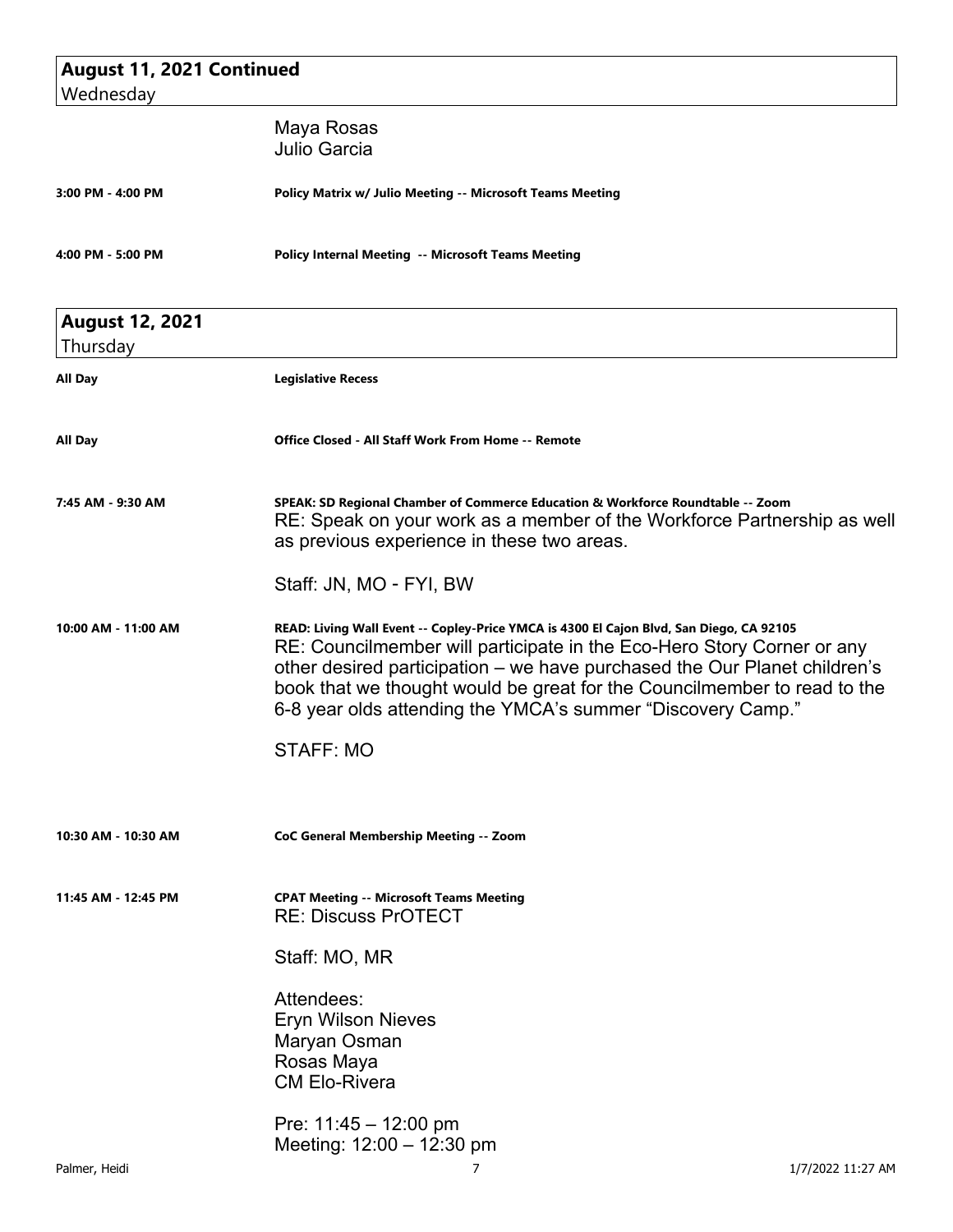| <b>August 11, 2021 Continued</b>   |                                                                                                                                                                                                                                                                                                                                                                                           |  |
|------------------------------------|-------------------------------------------------------------------------------------------------------------------------------------------------------------------------------------------------------------------------------------------------------------------------------------------------------------------------------------------------------------------------------------------|--|
| Wednesday                          |                                                                                                                                                                                                                                                                                                                                                                                           |  |
|                                    | Maya Rosas<br>Julio Garcia                                                                                                                                                                                                                                                                                                                                                                |  |
| 3:00 PM - 4:00 PM                  | Policy Matrix w/ Julio Meeting -- Microsoft Teams Meeting                                                                                                                                                                                                                                                                                                                                 |  |
| 4:00 PM - 5:00 PM                  | Policy Internal Meeting -- Microsoft Teams Meeting                                                                                                                                                                                                                                                                                                                                        |  |
| <b>August 12, 2021</b><br>Thursday |                                                                                                                                                                                                                                                                                                                                                                                           |  |
| <b>All Day</b>                     | <b>Legislative Recess</b>                                                                                                                                                                                                                                                                                                                                                                 |  |
| All Day                            | <b>Office Closed - All Staff Work From Home -- Remote</b>                                                                                                                                                                                                                                                                                                                                 |  |
| 7:45 AM - 9:30 AM                  | SPEAK: SD Regional Chamber of Commerce Education & Workforce Roundtable -- Zoom<br>RE: Speak on your work as a member of the Workforce Partnership as well<br>as previous experience in these two areas.                                                                                                                                                                                  |  |
|                                    | Staff: JN, MO - FYI, BW                                                                                                                                                                                                                                                                                                                                                                   |  |
| 10:00 AM - 11:00 AM                | READ: Living Wall Event -- Copley-Price YMCA is 4300 El Cajon Blvd, San Diego, CA 92105<br>RE: Councilmember will participate in the Eco-Hero Story Corner or any<br>other desired participation – we have purchased the Our Planet children's<br>book that we thought would be great for the Councilmember to read to the<br>6-8 year olds attending the YMCA's summer "Discovery Camp." |  |
|                                    | <b>STAFF: MO</b>                                                                                                                                                                                                                                                                                                                                                                          |  |
| 10:30 AM - 10:30 AM                | CoC General Membership Meeting -- Zoom                                                                                                                                                                                                                                                                                                                                                    |  |
| 11:45 AM - 12:45 PM                | <b>CPAT Meeting -- Microsoft Teams Meeting</b><br><b>RE: Discuss PrOTECT</b>                                                                                                                                                                                                                                                                                                              |  |
|                                    | Staff: MO, MR                                                                                                                                                                                                                                                                                                                                                                             |  |
|                                    | Attendees:<br><b>Eryn Wilson Nieves</b><br>Maryan Osman<br>Rosas Maya<br><b>CM Elo-Rivera</b>                                                                                                                                                                                                                                                                                             |  |
|                                    | Pre: $11:45 - 12:00 \text{ pm}$<br>Meeting: 12:00 - 12:30 pm                                                                                                                                                                                                                                                                                                                              |  |
| Palmer, Heidi                      | 7<br>1/7/2022 11:27 AM                                                                                                                                                                                                                                                                                                                                                                    |  |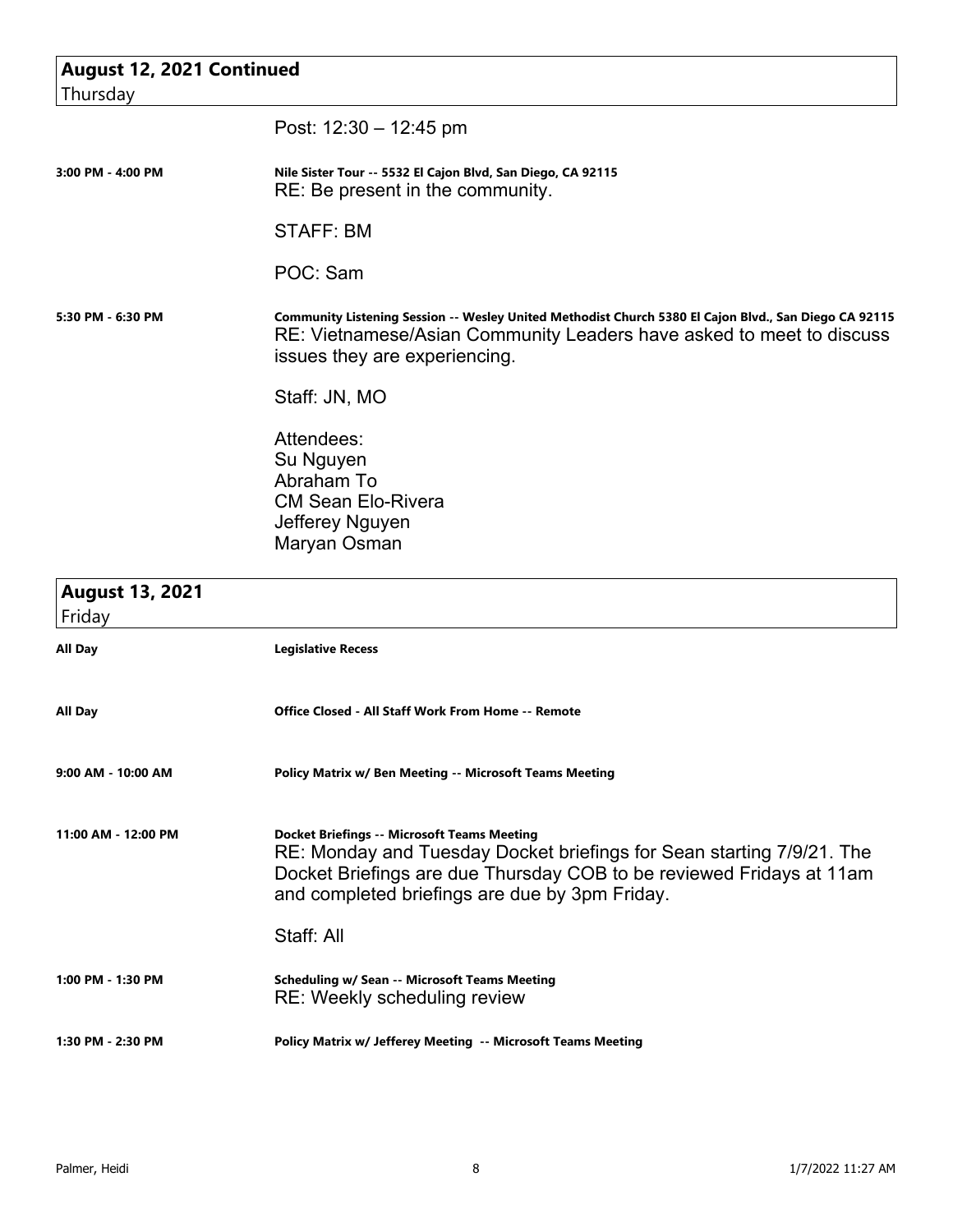| August 12, 2021 Continued        |                                                                                                                                                                                                                                                       |
|----------------------------------|-------------------------------------------------------------------------------------------------------------------------------------------------------------------------------------------------------------------------------------------------------|
| Thursday                         |                                                                                                                                                                                                                                                       |
|                                  | Post: $12:30 - 12:45$ pm                                                                                                                                                                                                                              |
|                                  |                                                                                                                                                                                                                                                       |
| 3:00 PM - 4:00 PM                | Nile Sister Tour -- 5532 El Cajon Blvd, San Diego, CA 92115<br>RE: Be present in the community.                                                                                                                                                       |
|                                  | <b>STAFF: BM</b>                                                                                                                                                                                                                                      |
|                                  | POC: Sam                                                                                                                                                                                                                                              |
| 5:30 PM - 6:30 PM                | Community Listening Session -- Wesley United Methodist Church 5380 El Cajon Blvd., San Diego CA 92115<br>RE: Vietnamese/Asian Community Leaders have asked to meet to discuss<br>issues they are experiencing.                                        |
|                                  | Staff: JN, MO                                                                                                                                                                                                                                         |
|                                  | Attendees:                                                                                                                                                                                                                                            |
|                                  | Su Nguyen                                                                                                                                                                                                                                             |
|                                  | Abraham To                                                                                                                                                                                                                                            |
|                                  | <b>CM Sean Elo-Rivera</b>                                                                                                                                                                                                                             |
|                                  | Jefferey Nguyen                                                                                                                                                                                                                                       |
|                                  | Maryan Osman                                                                                                                                                                                                                                          |
| <b>August 13, 2021</b><br>Friday |                                                                                                                                                                                                                                                       |
| All Day                          | <b>Legislative Recess</b>                                                                                                                                                                                                                             |
| All Day                          | Office Closed - All Staff Work From Home -- Remote                                                                                                                                                                                                    |
| 9:00 AM - 10:00 AM               | <b>Policy Matrix w/ Ben Meeting -- Microsoft Teams Meeting</b>                                                                                                                                                                                        |
| 11:00 AM - 12:00 PM              | <b>Docket Briefings -- Microsoft Teams Meeting</b><br>RE: Monday and Tuesday Docket briefings for Sean starting 7/9/21. The<br>Docket Briefings are due Thursday COB to be reviewed Fridays at 11am<br>and completed briefings are due by 3pm Friday. |
|                                  | Staff: All                                                                                                                                                                                                                                            |
| 1:00 PM - 1:30 PM                | <b>Scheduling w/ Sean -- Microsoft Teams Meeting</b><br>RE: Weekly scheduling review                                                                                                                                                                  |
| 1:30 PM - 2:30 PM                | Policy Matrix w/ Jefferey Meeting -- Microsoft Teams Meeting                                                                                                                                                                                          |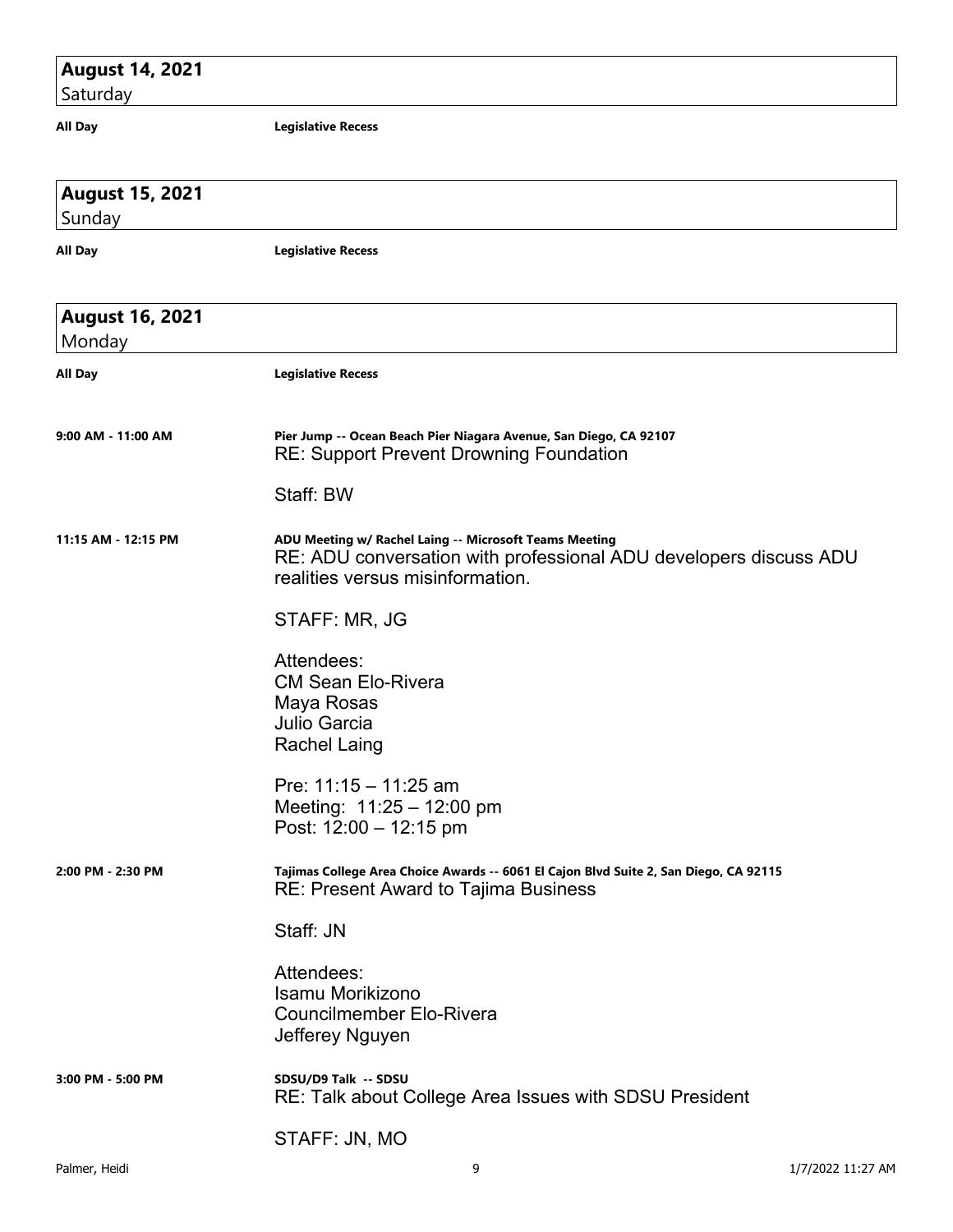### **August 14, 2021**

 $\vert$ Saturday

**All Day Legislative Recess**

| <b>August 15, 2021</b><br>Sunday |                                                                                                                                                                 |
|----------------------------------|-----------------------------------------------------------------------------------------------------------------------------------------------------------------|
| All Day                          | <b>Legislative Recess</b>                                                                                                                                       |
| <b>August 16, 2021</b><br>Monday |                                                                                                                                                                 |
| All Day                          | <b>Legislative Recess</b>                                                                                                                                       |
| 9:00 AM - 11:00 AM               | Pier Jump -- Ocean Beach Pier Niagara Avenue, San Diego, CA 92107<br><b>RE: Support Prevent Drowning Foundation</b>                                             |
|                                  | Staff: BW                                                                                                                                                       |
| 11:15 AM - 12:15 PM              | ADU Meeting w/ Rachel Laing -- Microsoft Teams Meeting<br>RE: ADU conversation with professional ADU developers discuss ADU<br>realities versus misinformation. |
|                                  | STAFF: MR, JG                                                                                                                                                   |
|                                  | Attendees:<br><b>CM Sean Elo-Rivera</b><br>Maya Rosas<br><b>Julio Garcia</b><br><b>Rachel Laing</b>                                                             |
|                                  | Pre: $11:15 - 11:25$ am<br>Meeting: $11:25 - 12:00$ pm<br>Post: $12:00 - 12:15$ pm                                                                              |
| 2:00 PM - 2:30 PM                | Tajimas College Area Choice Awards -- 6061 El Cajon Blvd Suite 2, San Diego, CA 92115<br><b>RE: Present Award to Tajima Business</b>                            |
|                                  | Staff: JN                                                                                                                                                       |
|                                  | Attendees:<br>Isamu Morikizono<br><b>Councilmember Elo-Rivera</b><br>Jefferey Nguyen                                                                            |
| 3:00 PM - 5:00 PM                | SDSU/D9 Talk -- SDSU<br>RE: Talk about College Area Issues with SDSU President                                                                                  |
|                                  | STAFF: JN, MO                                                                                                                                                   |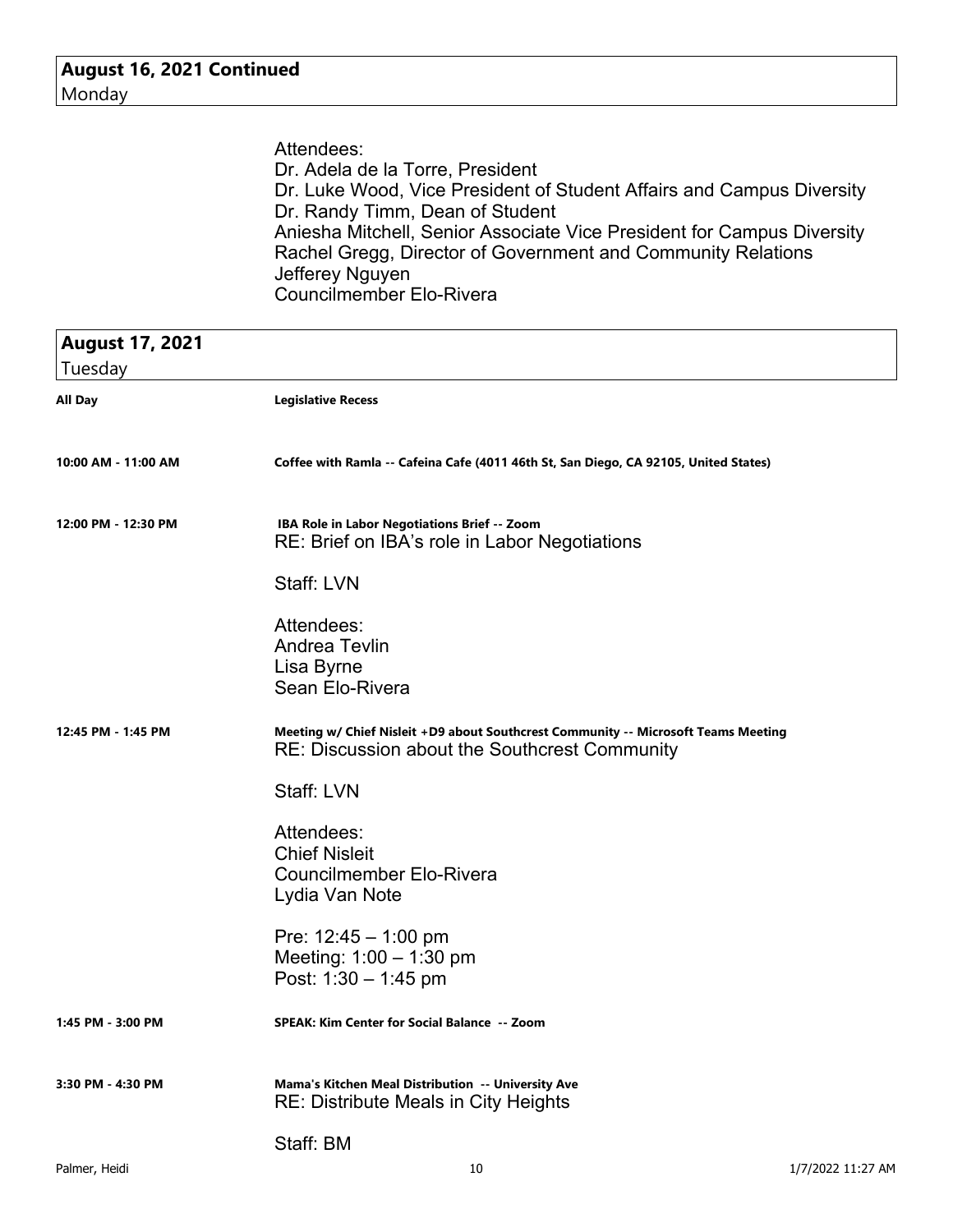| Attendees:                                                             |
|------------------------------------------------------------------------|
| Dr. Adela de la Torre, President                                       |
| Dr. Luke Wood, Vice President of Student Affairs and Campus Diversity  |
| Dr. Randy Timm, Dean of Student                                        |
| Aniesha Mitchell, Senior Associate Vice President for Campus Diversity |
| Rachel Gregg, Director of Government and Community Relations           |
| Jefferey Nguyen                                                        |
| <b>Councilmember Elo-Rivera</b>                                        |

| <b>August 17, 2021</b><br>Tuesday |                                                                                                                                     |                   |
|-----------------------------------|-------------------------------------------------------------------------------------------------------------------------------------|-------------------|
| All Day                           | <b>Legislative Recess</b>                                                                                                           |                   |
| 10:00 AM - 11:00 AM               | Coffee with Ramla -- Cafeina Cafe (4011 46th St, San Diego, CA 92105, United States)                                                |                   |
| 12:00 PM - 12:30 PM               | IBA Role in Labor Negotiations Brief -- Zoom<br>RE: Brief on IBA's role in Labor Negotiations                                       |                   |
|                                   | Staff: LVN                                                                                                                          |                   |
|                                   | Attendees:<br><b>Andrea Tevlin</b><br>Lisa Byrne<br>Sean Elo-Rivera                                                                 |                   |
| 12:45 PM - 1:45 PM                | Meeting w/ Chief Nisleit +D9 about Southcrest Community -- Microsoft Teams Meeting<br>RE: Discussion about the Southcrest Community |                   |
|                                   | Staff: LVN                                                                                                                          |                   |
|                                   | Attendees:<br><b>Chief Nisleit</b><br><b>Councilmember Elo-Rivera</b><br>Lydia Van Note                                             |                   |
|                                   | Pre: $12:45 - 1:00$ pm<br>Meeting: $1:00 - 1:30$ pm<br>Post: $1:30 - 1:45$ pm                                                       |                   |
| 1:45 PM - 3:00 PM                 | SPEAK: Kim Center for Social Balance -- Zoom                                                                                        |                   |
| 3:30 PM - 4:30 PM                 | Mama's Kitchen Meal Distribution -- University Ave<br><b>RE: Distribute Meals in City Heights</b>                                   |                   |
|                                   | Staff: BM                                                                                                                           |                   |
| Palmer, Heidi                     | 10                                                                                                                                  | 1/7/2022 11:27 AM |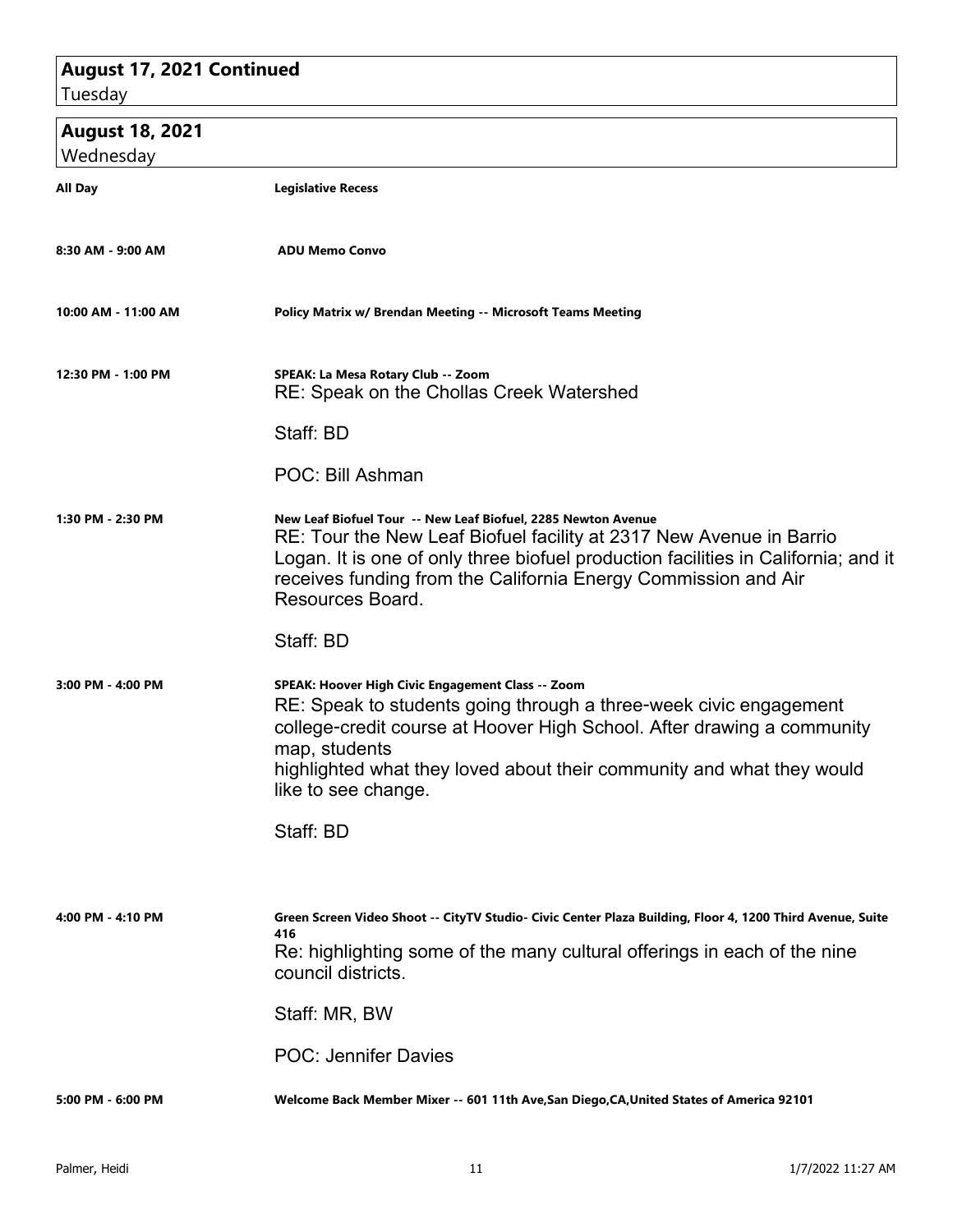## **August 17, 2021 Continued**

Tuesday

### **August 18, 2021**

| Wednesday           |                                                                                                                                                                                                                                                                                                                                |
|---------------------|--------------------------------------------------------------------------------------------------------------------------------------------------------------------------------------------------------------------------------------------------------------------------------------------------------------------------------|
| All Day             | <b>Legislative Recess</b>                                                                                                                                                                                                                                                                                                      |
| 8:30 AM - 9:00 AM   | <b>ADU Memo Convo</b>                                                                                                                                                                                                                                                                                                          |
| 10:00 AM - 11:00 AM | Policy Matrix w/ Brendan Meeting -- Microsoft Teams Meeting                                                                                                                                                                                                                                                                    |
| 12:30 PM - 1:00 PM  | SPEAK: La Mesa Rotary Club -- Zoom<br><b>RE: Speak on the Chollas Creek Watershed</b>                                                                                                                                                                                                                                          |
|                     | Staff: BD                                                                                                                                                                                                                                                                                                                      |
|                     | POC: Bill Ashman                                                                                                                                                                                                                                                                                                               |
| 1:30 PM - 2:30 PM   | New Leaf Biofuel Tour -- New Leaf Biofuel, 2285 Newton Avenue<br>RE: Tour the New Leaf Biofuel facility at 2317 New Avenue in Barrio<br>Logan. It is one of only three biofuel production facilities in California; and it<br>receives funding from the California Energy Commission and Air<br>Resources Board.               |
|                     | Staff: BD                                                                                                                                                                                                                                                                                                                      |
| 3:00 PM - 4:00 PM   | SPEAK: Hoover High Civic Engagement Class -- Zoom<br>RE: Speak to students going through a three-week civic engagement<br>college-credit course at Hoover High School. After drawing a community<br>map, students<br>highlighted what they loved about their community and what they would<br>like to see change.<br>Staff: BD |
|                     |                                                                                                                                                                                                                                                                                                                                |
| 4:00 PM - 4:10 PM   | Green Screen Video Shoot -- CityTV Studio- Civic Center Plaza Building, Floor 4, 1200 Third Avenue, Suite<br>416<br>Re: highlighting some of the many cultural offerings in each of the nine<br>council districts.                                                                                                             |
|                     | Staff: MR, BW                                                                                                                                                                                                                                                                                                                  |
|                     | <b>POC: Jennifer Davies</b>                                                                                                                                                                                                                                                                                                    |
| 5:00 PM - 6:00 PM   | Welcome Back Member Mixer -- 601 11th Ave, San Diego, CA, United States of America 92101                                                                                                                                                                                                                                       |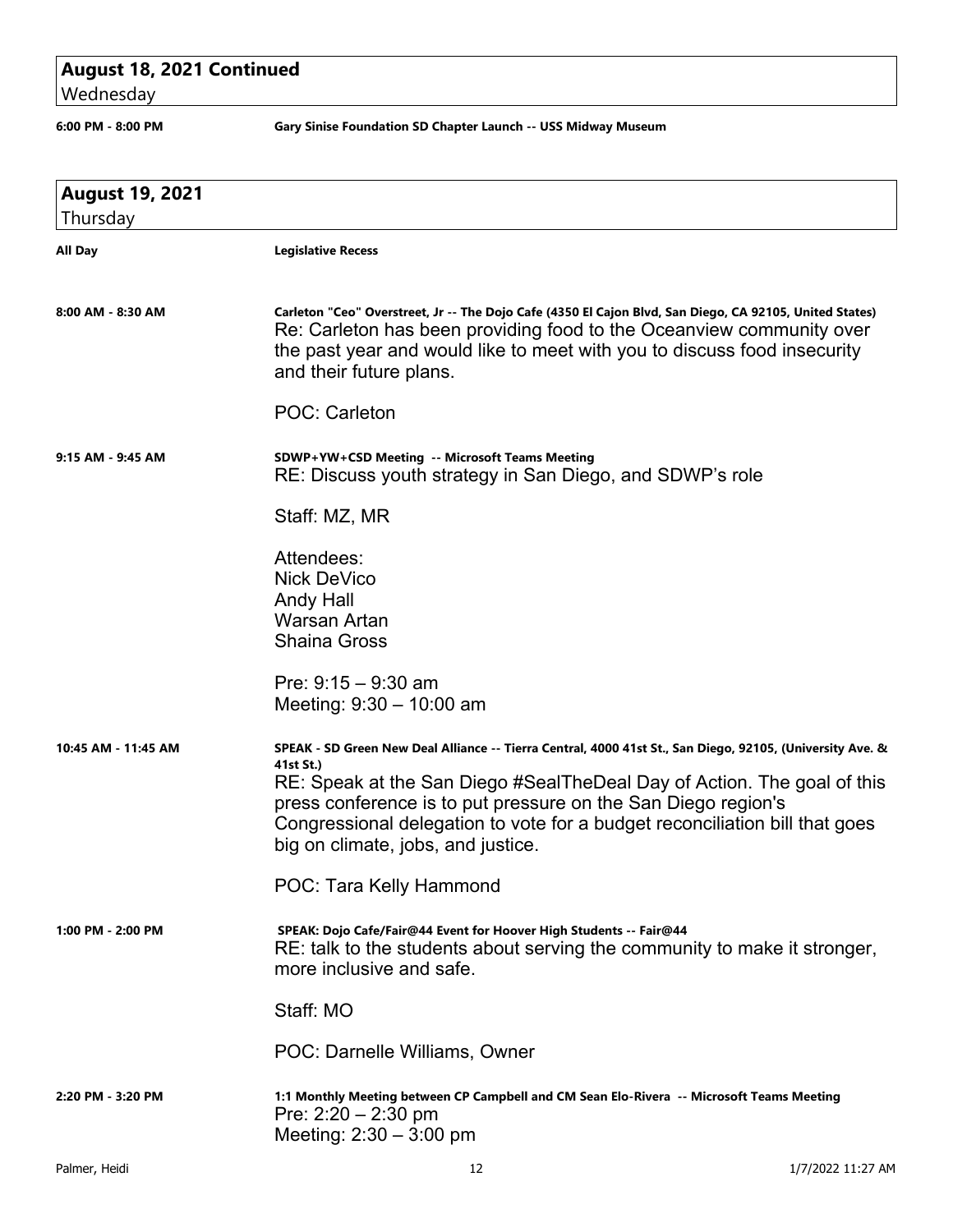### **August 18, 2021 Continued**

Wednesday

**6:00 PM - 8:00 PM Gary Sinise Foundation SD Chapter Launch -- USS Midway Museum**

| <b>August 19, 2021</b><br>Thursday |                                                                                                                                                                                                                                                                                                                                                                                         |                   |
|------------------------------------|-----------------------------------------------------------------------------------------------------------------------------------------------------------------------------------------------------------------------------------------------------------------------------------------------------------------------------------------------------------------------------------------|-------------------|
| All Day                            | <b>Legislative Recess</b>                                                                                                                                                                                                                                                                                                                                                               |                   |
| 8:00 AM - 8:30 AM                  | Carleton "Ceo" Overstreet, Jr -- The Dojo Cafe (4350 El Cajon Blvd, San Diego, CA 92105, United States)<br>Re: Carleton has been providing food to the Oceanview community over<br>the past year and would like to meet with you to discuss food insecurity<br>and their future plans.                                                                                                  |                   |
|                                    | <b>POC: Carleton</b>                                                                                                                                                                                                                                                                                                                                                                    |                   |
| 9:15 AM - 9:45 AM                  | SDWP+YW+CSD Meeting -- Microsoft Teams Meeting<br>RE: Discuss youth strategy in San Diego, and SDWP's role                                                                                                                                                                                                                                                                              |                   |
|                                    | Staff: MZ, MR                                                                                                                                                                                                                                                                                                                                                                           |                   |
|                                    | Attendees:<br><b>Nick DeVico</b><br>Andy Hall<br><b>Warsan Artan</b><br><b>Shaina Gross</b>                                                                                                                                                                                                                                                                                             |                   |
|                                    | Pre: $9:15 - 9:30$ am<br>Meeting: $9:30 - 10:00$ am                                                                                                                                                                                                                                                                                                                                     |                   |
| 10:45 AM - 11:45 AM                | SPEAK - SD Green New Deal Alliance -- Tierra Central, 4000 41st St., San Diego, 92105, (University Ave. &<br>41st St.)<br>RE: Speak at the San Diego #SealTheDeal Day of Action. The goal of this<br>press conference is to put pressure on the San Diego region's<br>Congressional delegation to vote for a budget reconciliation bill that goes<br>big on climate, jobs, and justice. |                   |
|                                    | POC: Tara Kelly Hammond                                                                                                                                                                                                                                                                                                                                                                 |                   |
| 1:00 PM - 2:00 PM                  | SPEAK: Dojo Cafe/Fair@44 Event for Hoover High Students -- Fair@44<br>RE: talk to the students about serving the community to make it stronger,<br>more inclusive and safe.                                                                                                                                                                                                             |                   |
|                                    | Staff: MO                                                                                                                                                                                                                                                                                                                                                                               |                   |
|                                    | POC: Darnelle Williams, Owner                                                                                                                                                                                                                                                                                                                                                           |                   |
| 2:20 PM - 3:20 PM                  | 1:1 Monthly Meeting between CP Campbell and CM Sean Elo-Rivera -- Microsoft Teams Meeting<br>Pre: 2:20 - 2:30 pm<br>Meeting: $2:30 - 3:00$ pm                                                                                                                                                                                                                                           |                   |
| Palmer, Heidi                      | 12                                                                                                                                                                                                                                                                                                                                                                                      | 1/7/2022 11:27 AM |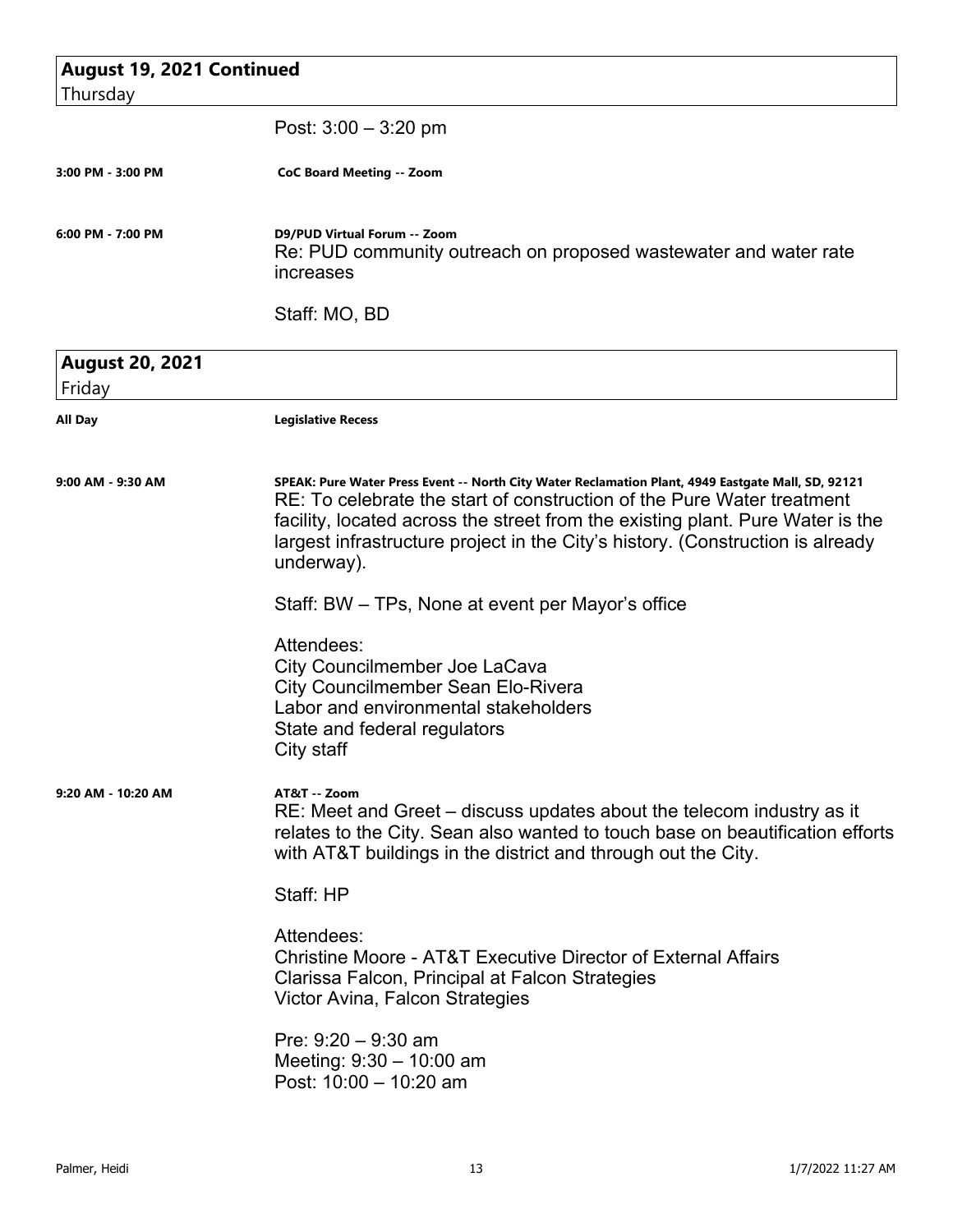| <b>August 19, 2021 Continued</b> |                                                                                                                                                                                                                                                                                                                                                                |
|----------------------------------|----------------------------------------------------------------------------------------------------------------------------------------------------------------------------------------------------------------------------------------------------------------------------------------------------------------------------------------------------------------|
| Thursday                         |                                                                                                                                                                                                                                                                                                                                                                |
|                                  | Post: $3:00 - 3:20$ pm                                                                                                                                                                                                                                                                                                                                         |
| 3:00 PM - 3:00 PM                | <b>CoC Board Meeting -- Zoom</b>                                                                                                                                                                                                                                                                                                                               |
| 6:00 PM - 7:00 PM                | D9/PUD Virtual Forum -- Zoom<br>Re: PUD community outreach on proposed wastewater and water rate<br>increases                                                                                                                                                                                                                                                  |
|                                  | Staff: MO, BD                                                                                                                                                                                                                                                                                                                                                  |
| <b>August 20, 2021</b><br>Friday |                                                                                                                                                                                                                                                                                                                                                                |
| <b>All Day</b>                   | <b>Legislative Recess</b>                                                                                                                                                                                                                                                                                                                                      |
| $9:00$ AM - $9:30$ AM            | SPEAK: Pure Water Press Event -- North City Water Reclamation Plant, 4949 Eastgate Mall, SD, 92121<br>RE: To celebrate the start of construction of the Pure Water treatment<br>facility, located across the street from the existing plant. Pure Water is the<br>largest infrastructure project in the City's history. (Construction is already<br>underway). |
|                                  | Staff: BW – TPs, None at event per Mayor's office                                                                                                                                                                                                                                                                                                              |
|                                  | Attendees:<br>City Councilmember Joe LaCava<br><b>City Councilmember Sean Elo-Rivera</b><br>Labor and environmental stakeholders<br>State and federal regulators<br>City staff                                                                                                                                                                                 |
| 9:20 AM - 10:20 AM               | AT&T -- Zoom<br>RE: Meet and Greet – discuss updates about the telecom industry as it<br>relates to the City. Sean also wanted to touch base on beautification efforts<br>with AT&T buildings in the district and through out the City.                                                                                                                        |
|                                  | Staff: HP                                                                                                                                                                                                                                                                                                                                                      |
|                                  | Attendees:<br>Christine Moore - AT&T Executive Director of External Affairs<br>Clarissa Falcon, Principal at Falcon Strategies<br>Victor Avina, Falcon Strategies                                                                                                                                                                                              |
|                                  | Pre: $9:20 - 9:30$ am<br>Meeting: $9:30 - 10:00$ am<br>Post: 10:00 - 10:20 am                                                                                                                                                                                                                                                                                  |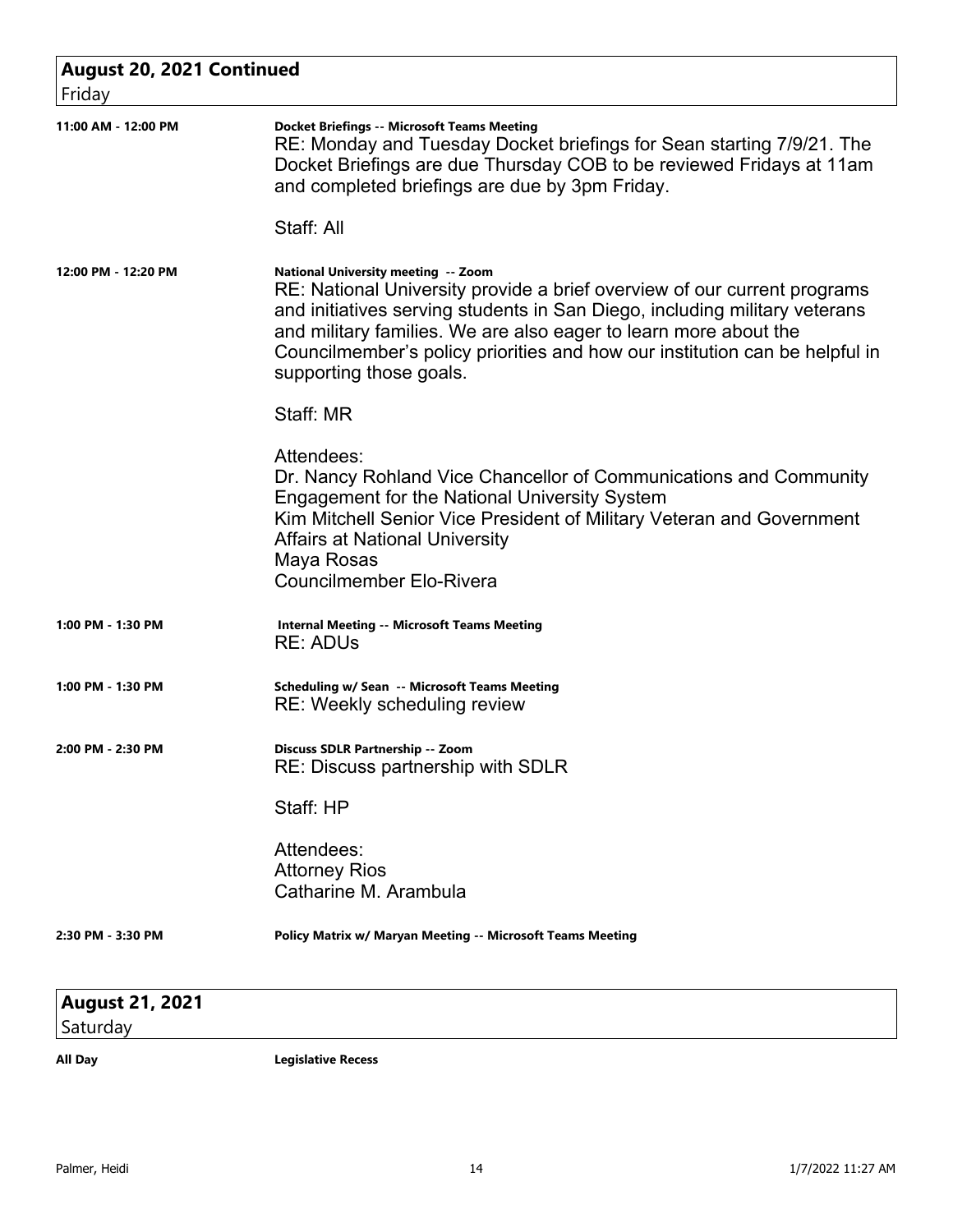| <b>August 20, 2021 Continued</b><br>Friday |                                                                                                                                                                                                                                                                                                                                                                             |
|--------------------------------------------|-----------------------------------------------------------------------------------------------------------------------------------------------------------------------------------------------------------------------------------------------------------------------------------------------------------------------------------------------------------------------------|
| 11:00 AM - 12:00 PM                        | <b>Docket Briefings -- Microsoft Teams Meeting</b><br>RE: Monday and Tuesday Docket briefings for Sean starting 7/9/21. The<br>Docket Briefings are due Thursday COB to be reviewed Fridays at 11am<br>and completed briefings are due by 3pm Friday.<br>Staff: All                                                                                                         |
| 12:00 PM - 12:20 PM                        | National University meeting -- Zoom<br>RE: National University provide a brief overview of our current programs<br>and initiatives serving students in San Diego, including military veterans<br>and military families. We are also eager to learn more about the<br>Councilmember's policy priorities and how our institution can be helpful in<br>supporting those goals. |
|                                            | Staff: MR                                                                                                                                                                                                                                                                                                                                                                   |
|                                            | Attendees:<br>Dr. Nancy Rohland Vice Chancellor of Communications and Community<br><b>Engagement for the National University System</b><br>Kim Mitchell Senior Vice President of Military Veteran and Government<br>Affairs at National University<br>Maya Rosas<br><b>Councilmember Elo-Rivera</b>                                                                         |
| 1:00 PM - 1:30 PM                          | <b>Internal Meeting -- Microsoft Teams Meeting</b><br><b>RE: ADUs</b>                                                                                                                                                                                                                                                                                                       |
| 1:00 PM - 1:30 PM                          | <b>Scheduling w/ Sean -- Microsoft Teams Meeting</b><br>RE: Weekly scheduling review                                                                                                                                                                                                                                                                                        |
| 2:00 PM - 2:30 PM                          | Discuss SDLR Partnership -- Zoom<br>RE: Discuss partnership with SDLR                                                                                                                                                                                                                                                                                                       |
|                                            | Staff: HP                                                                                                                                                                                                                                                                                                                                                                   |
|                                            | Attendees:<br><b>Attorney Rios</b><br>Catharine M. Arambula                                                                                                                                                                                                                                                                                                                 |
| 2:30 PM - 3:30 PM                          | Policy Matrix w/ Maryan Meeting -- Microsoft Teams Meeting                                                                                                                                                                                                                                                                                                                  |
| <b>August 21, 2021</b>                     |                                                                                                                                                                                                                                                                                                                                                                             |

Saturday

**All Day Legislative Recess**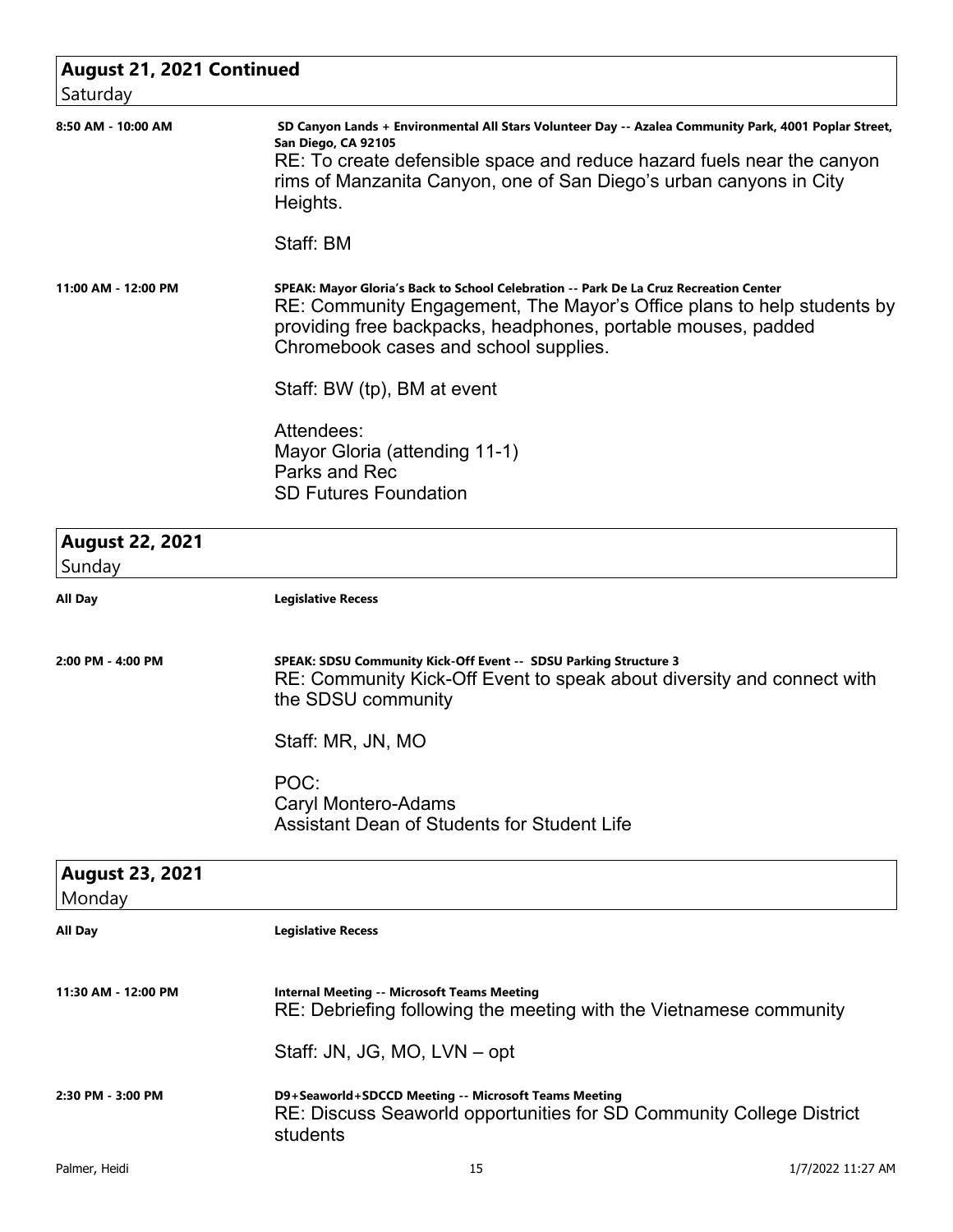| <b>August 21, 2021 Continued</b><br>Saturday |                                                                                                                                                                                                                                                                                                       |
|----------------------------------------------|-------------------------------------------------------------------------------------------------------------------------------------------------------------------------------------------------------------------------------------------------------------------------------------------------------|
| 8:50 AM - 10:00 AM                           | SD Canyon Lands + Environmental All Stars Volunteer Day -- Azalea Community Park, 4001 Poplar Street,<br>San Diego, CA 92105<br>RE: To create defensible space and reduce hazard fuels near the canyon<br>rims of Manzanita Canyon, one of San Diego's urban canyons in City<br>Heights.<br>Staff: BM |
| 11:00 AM - 12:00 PM                          | SPEAK: Mayor Gloria's Back to School Celebration -- Park De La Cruz Recreation Center<br>RE: Community Engagement, The Mayor's Office plans to help students by<br>providing free backpacks, headphones, portable mouses, padded<br>Chromebook cases and school supplies.                             |
|                                              | Staff: BW (tp), BM at event                                                                                                                                                                                                                                                                           |
|                                              | Attendees:<br>Mayor Gloria (attending 11-1)<br>Parks and Rec<br><b>SD Futures Foundation</b>                                                                                                                                                                                                          |
| <b>August 22, 2021</b><br>Sunday             |                                                                                                                                                                                                                                                                                                       |
| All Day                                      | <b>Legislative Recess</b>                                                                                                                                                                                                                                                                             |
| 2:00 PM - 4:00 PM                            | SPEAK: SDSU Community Kick-Off Event -- SDSU Parking Structure 3<br>RE: Community Kick-Off Event to speak about diversity and connect with<br>the SDSU community                                                                                                                                      |
|                                              | Staff: MR, JN, MO                                                                                                                                                                                                                                                                                     |
|                                              | POC:<br>Caryl Montero-Adams<br>Assistant Dean of Students for Student Life                                                                                                                                                                                                                            |
| <b>August 23, 2021</b><br>Monday             |                                                                                                                                                                                                                                                                                                       |
| All Day                                      | <b>Legislative Recess</b>                                                                                                                                                                                                                                                                             |
| 11:30 AM - 12:00 PM                          | <b>Internal Meeting -- Microsoft Teams Meeting</b><br>RE: Debriefing following the meeting with the Vietnamese community                                                                                                                                                                              |
|                                              | Staff: JN, JG, MO, LVN - opt                                                                                                                                                                                                                                                                          |
| 2:30 PM - 3:00 PM                            | D9+Seaworld+SDCCD Meeting -- Microsoft Teams Meeting<br>RE: Discuss Seaworld opportunities for SD Community College District<br>students                                                                                                                                                              |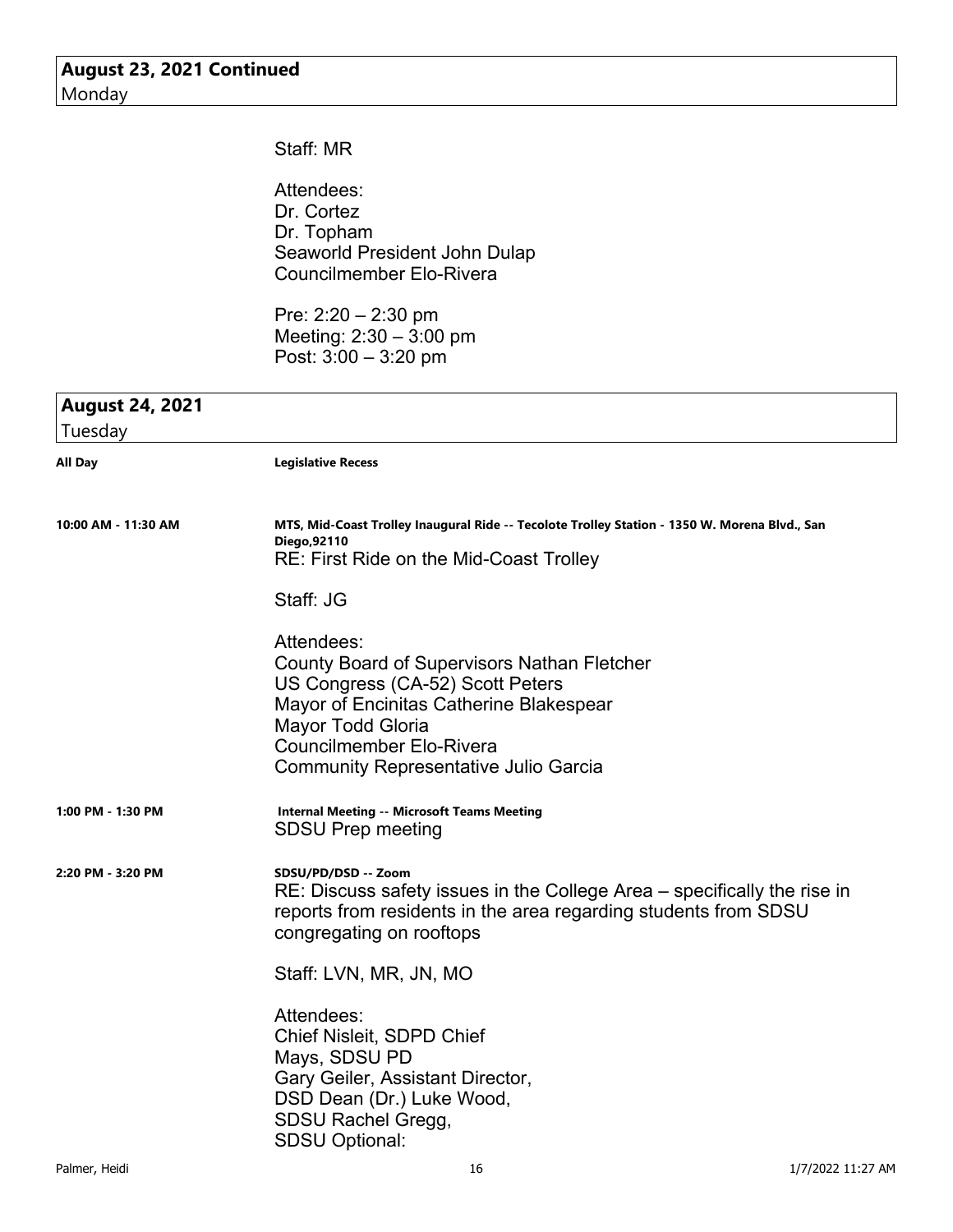#### Staff: MR

Attendees: Dr. Cortez Dr. Topham Seaworld President John Dulap Councilmember Elo-Rivera

Pre: 2:20 – 2:30 pm Meeting:  $2:30 - 3:00$  pm Post: 3:00 – 3:20 pm

#### **August 24, 2021**

| Tuesday             |                                                                                                                                                                                                                                                  |
|---------------------|--------------------------------------------------------------------------------------------------------------------------------------------------------------------------------------------------------------------------------------------------|
| All Day             | <b>Legislative Recess</b>                                                                                                                                                                                                                        |
| 10:00 AM - 11:30 AM | MTS, Mid-Coast Trolley Inaugural Ride -- Tecolote Trolley Station - 1350 W. Morena Blvd., San<br>Diego, 92110<br>RE: First Ride on the Mid-Coast Trolley                                                                                         |
|                     | Staff: JG                                                                                                                                                                                                                                        |
|                     | Attendees:<br>County Board of Supervisors Nathan Fletcher<br>US Congress (CA-52) Scott Peters<br>Mayor of Encinitas Catherine Blakespear<br>Mayor Todd Gloria<br><b>Councilmember Elo-Rivera</b><br><b>Community Representative Julio Garcia</b> |
| 1:00 PM - 1:30 PM   | <b>Internal Meeting -- Microsoft Teams Meeting</b><br><b>SDSU Prep meeting</b>                                                                                                                                                                   |
| 2:20 PM - 3:20 PM   | SDSU/PD/DSD -- Zoom<br>RE: Discuss safety issues in the College Area – specifically the rise in<br>reports from residents in the area regarding students from SDSU<br>congregating on rooftops                                                   |
|                     | Staff: LVN, MR, JN, MO                                                                                                                                                                                                                           |
|                     | Attendees:<br><b>Chief Nisleit, SDPD Chief</b><br>Mays, SDSU PD<br>Gary Geiler, Assistant Director,<br>DSD Dean (Dr.) Luke Wood,<br>SDSU Rachel Gregg,<br><b>SDSU Optional:</b>                                                                  |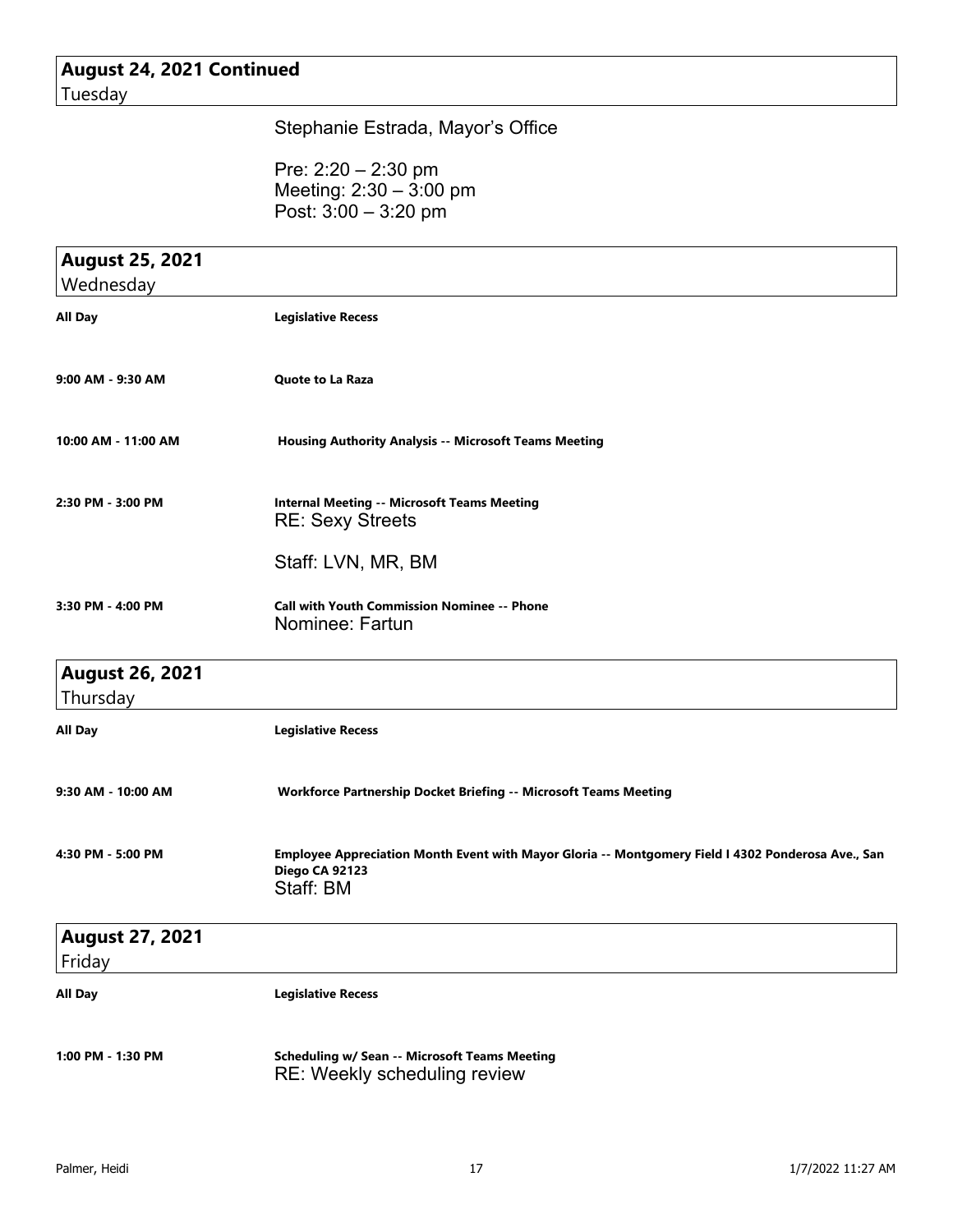#### **August 24, 2021 Continued** Tuesday

#### Stephanie Estrada, Mayor's Office

Pre: 2:20 – 2:30 pm Meeting: 2:30 – 3:00 pm Post: 3:00 – 3:20 pm

| <b>August 25, 2021</b>           |                                                                                                                                   |
|----------------------------------|-----------------------------------------------------------------------------------------------------------------------------------|
| Wednesday                        |                                                                                                                                   |
| All Day                          | <b>Legislative Recess</b>                                                                                                         |
| 9:00 AM - 9:30 AM                | <b>Quote to La Raza</b>                                                                                                           |
| 10:00 AM - 11:00 AM              | <b>Housing Authority Analysis -- Microsoft Teams Meeting</b>                                                                      |
| 2:30 PM - 3:00 PM                | <b>Internal Meeting -- Microsoft Teams Meeting</b><br><b>RE: Sexy Streets</b>                                                     |
|                                  | Staff: LVN, MR, BM                                                                                                                |
| 3:30 PM - 4:00 PM                | <b>Call with Youth Commission Nominee -- Phone</b><br>Nominee: Fartun                                                             |
| <b>August 26, 2021</b>           |                                                                                                                                   |
| Thursday                         |                                                                                                                                   |
| All Day                          | <b>Legislative Recess</b>                                                                                                         |
| 9:30 AM - 10:00 AM               | Workforce Partnership Docket Briefing -- Microsoft Teams Meeting                                                                  |
| 4:30 PM - 5:00 PM                | Employee Appreciation Month Event with Mayor Gloria -- Montgomery Field I 4302 Ponderosa Ave., San<br>Diego CA 92123<br>Staff: BM |
| <b>August 27, 2021</b><br>Friday |                                                                                                                                   |
| All Day                          | <b>Legislative Recess</b>                                                                                                         |
| 1:00 PM - 1:30 PM                | <b>Scheduling w/ Sean -- Microsoft Teams Meeting</b><br>RE: Weekly scheduling review                                              |